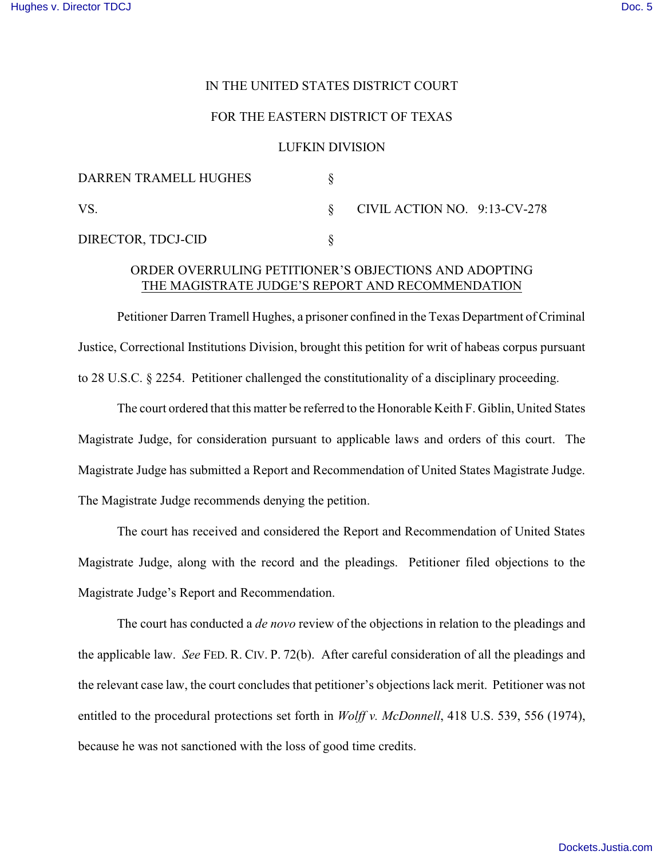## IN THE UNITED STATES DISTRICT COURT

## FOR THE EASTERN DISTRICT OF TEXAS

#### LUFKIN DIVISION

| DARREN TRAMELL HUGHES |                              |  |
|-----------------------|------------------------------|--|
| <b>VS</b>             | CIVIL ACTION NO. 9:13-CV-278 |  |
| DIRECTOR, TDCJ-CID    |                              |  |

# ORDER OVERRULING PETITIONER'S OBJECTIONS AND ADOPTING THE MAGISTRATE JUDGE'S REPORT AND RECOMMENDATION

Petitioner Darren Tramell Hughes, a prisoner confined in the Texas Department of Criminal Justice, Correctional Institutions Division, brought this petition for writ of habeas corpus pursuant to 28 U.S.C. § 2254. Petitioner challenged the constitutionality of a disciplinary proceeding.

The court ordered that this matter be referred to the Honorable Keith F. Giblin, United States Magistrate Judge, for consideration pursuant to applicable laws and orders of this court. The Magistrate Judge has submitted a Report and Recommendation of United States Magistrate Judge. The Magistrate Judge recommends denying the petition.

The court has received and considered the Report and Recommendation of United States Magistrate Judge, along with the record and the pleadings. Petitioner filed objections to the Magistrate Judge's Report and Recommendation.

The court has conducted a *de novo* review of the objections in relation to the pleadings and the applicable law. *See* FED. R. CIV. P. 72(b). After careful consideration of all the pleadings and the relevant case law, the court concludes that petitioner's objections lack merit. Petitioner was not entitled to the procedural protections set forth in *Wolff v. McDonnell*, 418 U.S. 539, 556 (1974), because he was not sanctioned with the loss of good time credits.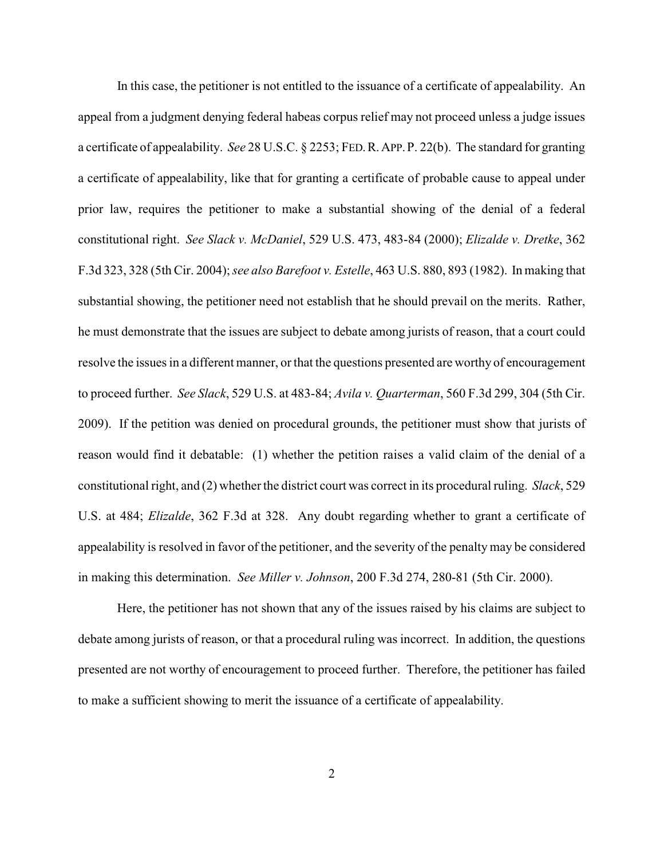In this case, the petitioner is not entitled to the issuance of a certificate of appealability. An appeal from a judgment denying federal habeas corpus relief may not proceed unless a judge issues a certificate of appealability. *See* 28 U.S.C. § 2253; FED.R.APP.P. 22(b). The standard for granting a certificate of appealability, like that for granting a certificate of probable cause to appeal under prior law, requires the petitioner to make a substantial showing of the denial of a federal constitutional right. *See Slack v. McDaniel*, 529 U.S. 473, 483-84 (2000); *Elizalde v. Dretke*, 362 F.3d 323, 328 (5th Cir. 2004); *see also Barefoot v. Estelle*, 463 U.S. 880, 893 (1982). In making that substantial showing, the petitioner need not establish that he should prevail on the merits. Rather, he must demonstrate that the issues are subject to debate among jurists of reason, that a court could resolve the issues in a different manner, or that the questions presented are worthy of encouragement to proceed further. *See Slack*, 529 U.S. at 483-84; *Avila v. Quarterman*, 560 F.3d 299, 304 (5th Cir. 2009). If the petition was denied on procedural grounds, the petitioner must show that jurists of reason would find it debatable: (1) whether the petition raises a valid claim of the denial of a constitutional right, and (2) whether the district court was correct in its procedural ruling. *Slack*, 529 U.S. at 484; *Elizalde*, 362 F.3d at 328. Any doubt regarding whether to grant a certificate of appealability is resolved in favor of the petitioner, and the severity of the penalty may be considered in making this determination. *See Miller v. Johnson*, 200 F.3d 274, 280-81 (5th Cir. 2000).

Here, the petitioner has not shown that any of the issues raised by his claims are subject to debate among jurists of reason, or that a procedural ruling was incorrect. In addition, the questions presented are not worthy of encouragement to proceed further. Therefore, the petitioner has failed to make a sufficient showing to merit the issuance of a certificate of appealability.